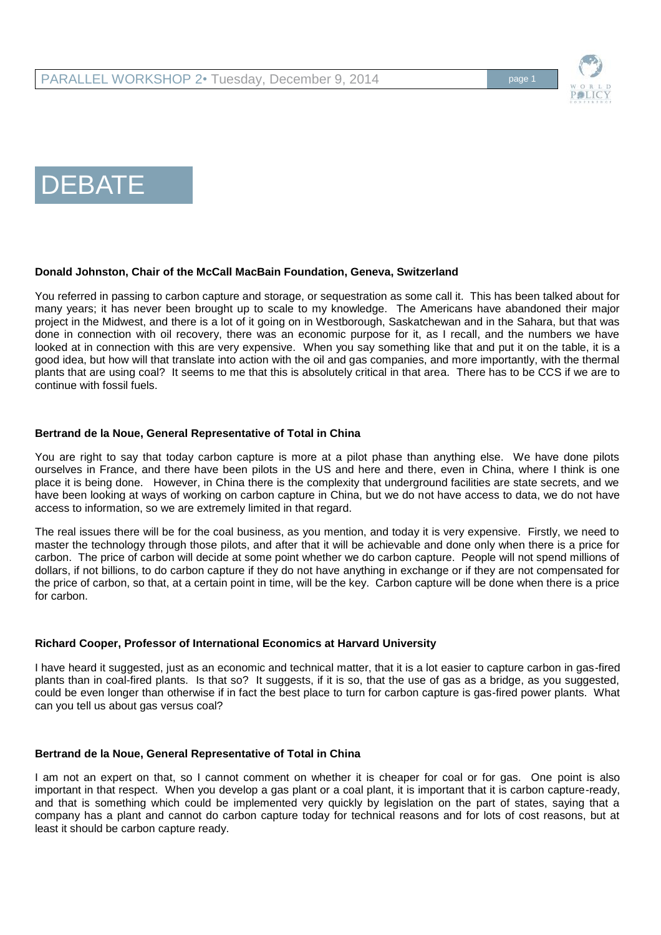

# DEBATE

## **Donald Johnston, Chair of the McCall MacBain Foundation, Geneva, Switzerland**

You referred in passing to carbon capture and storage, or sequestration as some call it. This has been talked about for many years; it has never been brought up to scale to my knowledge. The Americans have abandoned their major project in the Midwest, and there is a lot of it going on in Westborough, Saskatchewan and in the Sahara, but that was done in connection with oil recovery, there was an economic purpose for it, as I recall, and the numbers we have looked at in connection with this are very expensive. When you say something like that and put it on the table, it is a good idea, but how will that translate into action with the oil and gas companies, and more importantly, with the thermal plants that are using coal? It seems to me that this is absolutely critical in that area. There has to be CCS if we are to continue with fossil fuels.

#### **Bertrand de la Noue, General Representative of Total in China**

You are right to say that today carbon capture is more at a pilot phase than anything else. We have done pilots ourselves in France, and there have been pilots in the US and here and there, even in China, where I think is one place it is being done. However, in China there is the complexity that underground facilities are state secrets, and we have been looking at ways of working on carbon capture in China, but we do not have access to data, we do not have access to information, so we are extremely limited in that regard.

The real issues there will be for the coal business, as you mention, and today it is very expensive. Firstly, we need to master the technology through those pilots, and after that it will be achievable and done only when there is a price for carbon. The price of carbon will decide at some point whether we do carbon capture. People will not spend millions of dollars, if not billions, to do carbon capture if they do not have anything in exchange or if they are not compensated for the price of carbon, so that, at a certain point in time, will be the key. Carbon capture will be done when there is a price for carbon.

#### **Richard Cooper, Professor of International Economics at Harvard University**

I have heard it suggested, just as an economic and technical matter, that it is a lot easier to capture carbon in gas-fired plants than in coal-fired plants. Is that so? It suggests, if it is so, that the use of gas as a bridge, as you suggested, could be even longer than otherwise if in fact the best place to turn for carbon capture is gas-fired power plants. What can you tell us about gas versus coal?

## **Bertrand de la Noue, General Representative of Total in China**

I am not an expert on that, so I cannot comment on whether it is cheaper for coal or for gas. One point is also important in that respect. When you develop a gas plant or a coal plant, it is important that it is carbon capture-ready, and that is something which could be implemented very quickly by legislation on the part of states, saying that a company has a plant and cannot do carbon capture today for technical reasons and for lots of cost reasons, but at least it should be carbon capture ready.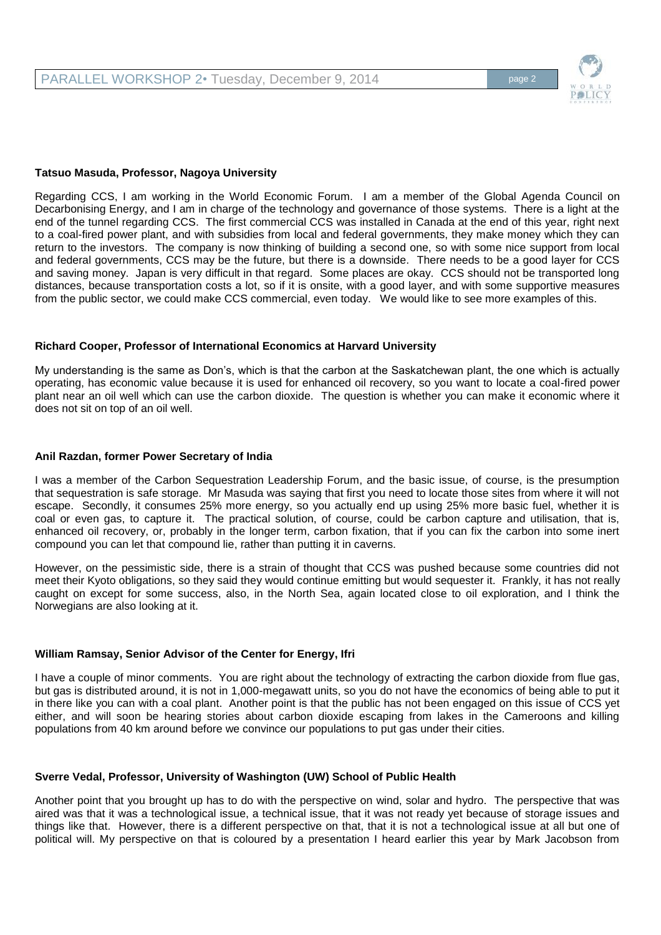

#### **Tatsuo Masuda, Professor, Nagoya University**

Regarding CCS, I am working in the World Economic Forum. I am a member of the Global Agenda Council on Decarbonising Energy, and I am in charge of the technology and governance of those systems. There is a light at the end of the tunnel regarding CCS. The first commercial CCS was installed in Canada at the end of this year, right next to a coal-fired power plant, and with subsidies from local and federal governments, they make money which they can return to the investors. The company is now thinking of building a second one, so with some nice support from local and federal governments, CCS may be the future, but there is a downside. There needs to be a good layer for CCS and saving money. Japan is very difficult in that regard. Some places are okay. CCS should not be transported long distances, because transportation costs a lot, so if it is onsite, with a good layer, and with some supportive measures from the public sector, we could make CCS commercial, even today. We would like to see more examples of this.

#### **Richard Cooper, Professor of International Economics at Harvard University**

My understanding is the same as Don's, which is that the carbon at the Saskatchewan plant, the one which is actually operating, has economic value because it is used for enhanced oil recovery, so you want to locate a coal-fired power plant near an oil well which can use the carbon dioxide. The question is whether you can make it economic where it does not sit on top of an oil well.

#### **Anil Razdan, former Power Secretary of India**

I was a member of the Carbon Sequestration Leadership Forum, and the basic issue, of course, is the presumption that sequestration is safe storage. Mr Masuda was saying that first you need to locate those sites from where it will not escape. Secondly, it consumes 25% more energy, so you actually end up using 25% more basic fuel, whether it is coal or even gas, to capture it. The practical solution, of course, could be carbon capture and utilisation, that is, enhanced oil recovery, or, probably in the longer term, carbon fixation, that if you can fix the carbon into some inert compound you can let that compound lie, rather than putting it in caverns.

However, on the pessimistic side, there is a strain of thought that CCS was pushed because some countries did not meet their Kyoto obligations, so they said they would continue emitting but would sequester it. Frankly, it has not really caught on except for some success, also, in the North Sea, again located close to oil exploration, and I think the Norwegians are also looking at it.

#### **William Ramsay, Senior Advisor of the Center for Energy, Ifri**

I have a couple of minor comments. You are right about the technology of extracting the carbon dioxide from flue gas, but gas is distributed around, it is not in 1,000-megawatt units, so you do not have the economics of being able to put it in there like you can with a coal plant. Another point is that the public has not been engaged on this issue of CCS yet either, and will soon be hearing stories about carbon dioxide escaping from lakes in the Cameroons and killing populations from 40 km around before we convince our populations to put gas under their cities.

#### **Sverre Vedal, Professor, University of Washington (UW) School of Public Health**

Another point that you brought up has to do with the perspective on wind, solar and hydro. The perspective that was aired was that it was a technological issue, a technical issue, that it was not ready yet because of storage issues and things like that. However, there is a different perspective on that, that it is not a technological issue at all but one of political will. My perspective on that is coloured by a presentation I heard earlier this year by Mark Jacobson from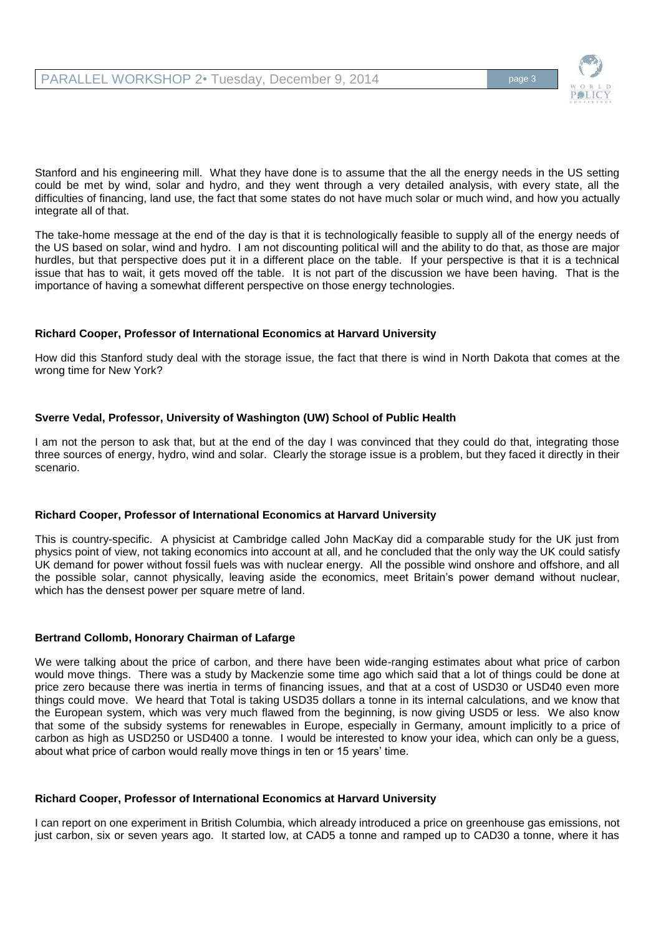

Stanford and his engineering mill. What they have done is to assume that the all the energy needs in the US setting could be met by wind, solar and hydro, and they went through a very detailed analysis, with every state, all the difficulties of financing, land use, the fact that some states do not have much solar or much wind, and how you actually integrate all of that.

The take-home message at the end of the day is that it is technologically feasible to supply all of the energy needs of the US based on solar, wind and hydro. I am not discounting political will and the ability to do that, as those are major hurdles, but that perspective does put it in a different place on the table. If your perspective is that it is a technical issue that has to wait, it gets moved off the table. It is not part of the discussion we have been having. That is the importance of having a somewhat different perspective on those energy technologies.

#### **Richard Cooper, Professor of International Economics at Harvard University**

How did this Stanford study deal with the storage issue, the fact that there is wind in North Dakota that comes at the wrong time for New York?

## **Sverre Vedal, Professor, University of Washington (UW) School of Public Health**

I am not the person to ask that, but at the end of the day I was convinced that they could do that, integrating those three sources of energy, hydro, wind and solar. Clearly the storage issue is a problem, but they faced it directly in their scenario.

## **Richard Cooper, Professor of International Economics at Harvard University**

This is country-specific. A physicist at Cambridge called John MacKay did a comparable study for the UK just from physics point of view, not taking economics into account at all, and he concluded that the only way the UK could satisfy UK demand for power without fossil fuels was with nuclear energy. All the possible wind onshore and offshore, and all the possible solar, cannot physically, leaving aside the economics, meet Britain's power demand without nuclear, which has the densest power per square metre of land.

## **Bertrand Collomb, Honorary Chairman of Lafarge**

We were talking about the price of carbon, and there have been wide-ranging estimates about what price of carbon would move things. There was a study by Mackenzie some time ago which said that a lot of things could be done at price zero because there was inertia in terms of financing issues, and that at a cost of USD30 or USD40 even more things could move. We heard that Total is taking USD35 dollars a tonne in its internal calculations, and we know that the European system, which was very much flawed from the beginning, is now giving USD5 or less. We also know that some of the subsidy systems for renewables in Europe, especially in Germany, amount implicitly to a price of carbon as high as USD250 or USD400 a tonne. I would be interested to know your idea, which can only be a guess, about what price of carbon would really move things in ten or 15 years' time.

#### **Richard Cooper, Professor of International Economics at Harvard University**

I can report on one experiment in British Columbia, which already introduced a price on greenhouse gas emissions, not just carbon, six or seven years ago. It started low, at CAD5 a tonne and ramped up to CAD30 a tonne, where it has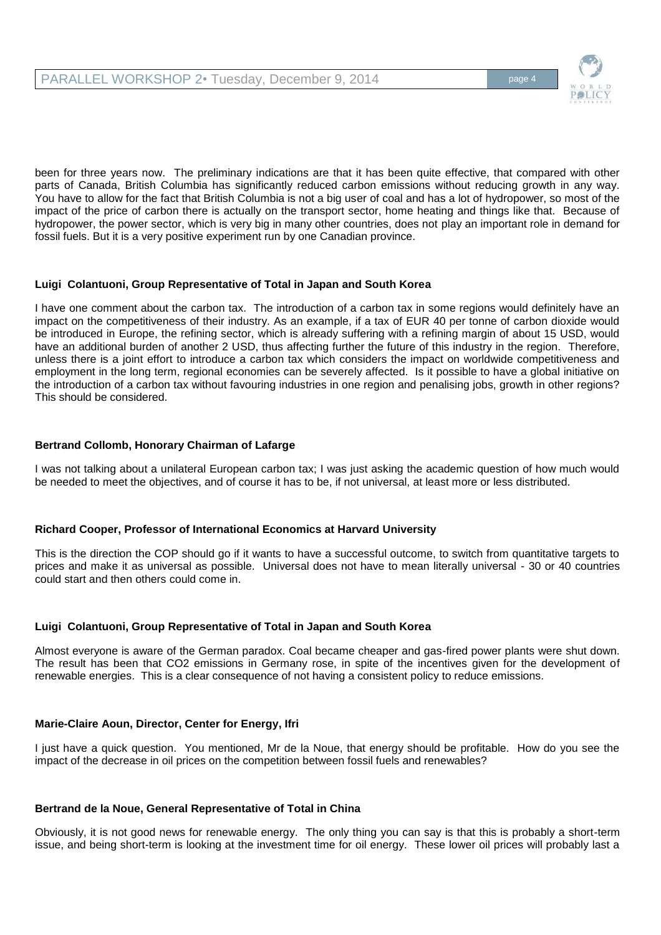

been for three years now. The preliminary indications are that it has been quite effective, that compared with other parts of Canada, British Columbia has significantly reduced carbon emissions without reducing growth in any way. You have to allow for the fact that British Columbia is not a big user of coal and has a lot of hydropower, so most of the impact of the price of carbon there is actually on the transport sector, home heating and things like that. Because of hydropower, the power sector, which is very big in many other countries, does not play an important role in demand for fossil fuels. But it is a very positive experiment run by one Canadian province.

# **Luigi Colantuoni, Group Representative of Total in Japan and South Korea**

I have one comment about the carbon tax. The introduction of a carbon tax in some regions would definitely have an impact on the competitiveness of their industry. As an example, if a tax of EUR 40 per tonne of carbon dioxide would be introduced in Europe, the refining sector, which is already suffering with a refining margin of about 15 USD, would have an additional burden of another 2 USD, thus affecting further the future of this industry in the region. Therefore, unless there is a joint effort to introduce a carbon tax which considers the impact on worldwide competitiveness and employment in the long term, regional economies can be severely affected. Is it possible to have a global initiative on the introduction of a carbon tax without favouring industries in one region and penalising jobs, growth in other regions? This should be considered.

# **Bertrand Collomb, Honorary Chairman of Lafarge**

I was not talking about a unilateral European carbon tax; I was just asking the academic question of how much would be needed to meet the objectives, and of course it has to be, if not universal, at least more or less distributed.

## **Richard Cooper, Professor of International Economics at Harvard University**

This is the direction the COP should go if it wants to have a successful outcome, to switch from quantitative targets to prices and make it as universal as possible. Universal does not have to mean literally universal - 30 or 40 countries could start and then others could come in.

## **Luigi Colantuoni, Group Representative of Total in Japan and South Korea**

Almost everyone is aware of the German paradox. Coal became cheaper and gas-fired power plants were shut down. The result has been that CO2 emissions in Germany rose, in spite of the incentives given for the development of renewable energies. This is a clear consequence of not having a consistent policy to reduce emissions.

## **Marie-Claire Aoun, Director, Center for Energy, Ifri**

I just have a quick question. You mentioned, Mr de la Noue, that energy should be profitable. How do you see the impact of the decrease in oil prices on the competition between fossil fuels and renewables?

## **Bertrand de la Noue, General Representative of Total in China**

Obviously, it is not good news for renewable energy. The only thing you can say is that this is probably a short-term issue, and being short-term is looking at the investment time for oil energy. These lower oil prices will probably last a